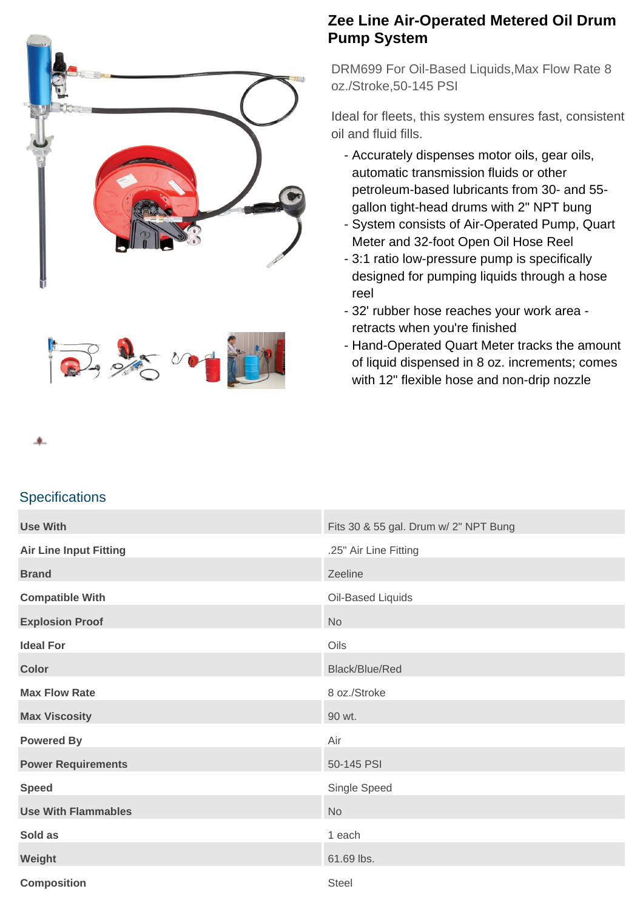



## **Zee Line Air-Operated Metered Oil Drum Pump System**

DRM699 For Oil-Based Liquids,Max Flow Rate 8 oz./Stroke,50-145 PSI

Ideal for fleets, this system ensures fast, consistent oil and fluid fills.

- Accurately dispenses motor oils, gear oils, automatic transmission fluids or other petroleum-based lubricants from 30- and 55 gallon tight-head drums with 2" NPT bung
- System consists of Air-Operated Pump, Quart Meter and 32-foot Open Oil Hose Reel
- 3:1 ratio low-pressure pump is specifically designed for pumping liquids through a hose reel
- 32' rubber hose reaches your work area retracts when you're finished
- Hand-Operated Quart Meter tracks the amount of liquid dispensed in 8 oz. increments; comes with 12" flexible hose and non-drip nozzle

## **Specifications**

| <b>Use With</b>               | Fits 30 & 55 gal. Drum w/ 2" NPT Bung |
|-------------------------------|---------------------------------------|
| <b>Air Line Input Fitting</b> | .25" Air Line Fitting                 |
| <b>Brand</b>                  | Zeeline                               |
| <b>Compatible With</b>        | Oil-Based Liquids                     |
| <b>Explosion Proof</b>        | <b>No</b>                             |
| <b>Ideal For</b>              | Oils                                  |
| <b>Color</b>                  | Black/Blue/Red                        |
| <b>Max Flow Rate</b>          | 8 oz./Stroke                          |
| <b>Max Viscosity</b>          | 90 wt.                                |
| <b>Powered By</b>             | Air                                   |
| <b>Power Requirements</b>     | 50-145 PSI                            |
| <b>Speed</b>                  | Single Speed                          |
| <b>Use With Flammables</b>    | No                                    |
| Sold as                       | 1 each                                |
| Weight                        | 61.69 lbs.                            |
| <b>Composition</b>            | <b>Steel</b>                          |